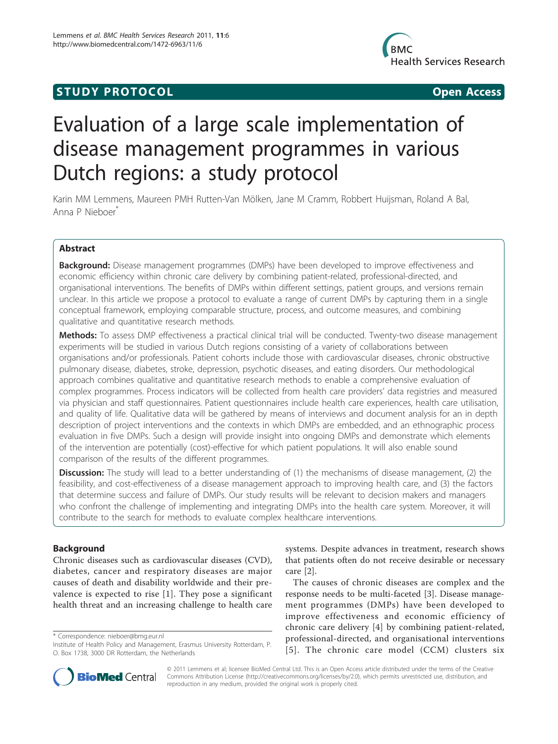# **STUDY PROTOCOL CONSUMING ACCESS**



# Evaluation of a large scale implementation of disease management programmes in various Dutch regions: a study protocol

Karin MM Lemmens, Maureen PMH Rutten-Van Mölken, Jane M Cramm, Robbert Huijsman, Roland A Bal, Anna P Nieboer<sup>\*</sup>

# Abstract

**Background:** Disease management programmes (DMPs) have been developed to improve effectiveness and economic efficiency within chronic care delivery by combining patient-related, professional-directed, and organisational interventions. The benefits of DMPs within different settings, patient groups, and versions remain unclear. In this article we propose a protocol to evaluate a range of current DMPs by capturing them in a single conceptual framework, employing comparable structure, process, and outcome measures, and combining qualitative and quantitative research methods.

Methods: To assess DMP effectiveness a practical clinical trial will be conducted. Twenty-two disease management experiments will be studied in various Dutch regions consisting of a variety of collaborations between organisations and/or professionals. Patient cohorts include those with cardiovascular diseases, chronic obstructive pulmonary disease, diabetes, stroke, depression, psychotic diseases, and eating disorders. Our methodological approach combines qualitative and quantitative research methods to enable a comprehensive evaluation of complex programmes. Process indicators will be collected from health care providers' data registries and measured via physician and staff questionnaires. Patient questionnaires include health care experiences, health care utilisation, and quality of life. Qualitative data will be gathered by means of interviews and document analysis for an in depth description of project interventions and the contexts in which DMPs are embedded, and an ethnographic process evaluation in five DMPs. Such a design will provide insight into ongoing DMPs and demonstrate which elements of the intervention are potentially (cost)-effective for which patient populations. It will also enable sound comparison of the results of the different programmes.

**Discussion:** The study will lead to a better understanding of (1) the mechanisms of disease management, (2) the feasibility, and cost-effectiveness of a disease management approach to improving health care, and (3) the factors that determine success and failure of DMPs. Our study results will be relevant to decision makers and managers who confront the challenge of implementing and integrating DMPs into the health care system. Moreover, it will contribute to the search for methods to evaluate complex healthcare interventions.

# Background

Chronic diseases such as cardiovascular diseases (CVD), diabetes, cancer and respiratory diseases are major causes of death and disability worldwide and their prevalence is expected to rise [[1](#page-8-0)]. They pose a significant health threat and an increasing challenge to health care

\* Correspondence: [nieboer@bmg.eur.nl](mailto:nieboer@bmg.eur.nl)

systems. Despite advances in treatment, research shows that patients often do not receive desirable or necessary care [[2\]](#page-8-0).

The causes of chronic diseases are complex and the response needs to be multi-faceted [[3\]](#page-8-0). Disease management programmes (DMPs) have been developed to improve effectiveness and economic efficiency of chronic care delivery [[4\]](#page-8-0) by combining patient-related, professional-directed, and organisational interventions [[5\]](#page-8-0). The chronic care model (CCM) clusters six



© 2011 Lemmens et al; licensee BioMed Central Ltd. This is an Open Access article distributed under the terms of the Creative Commons Attribution License [\(http://creativecommons.org/licenses/by/2.0](http://creativecommons.org/licenses/by/2.0)), which permits unrestricted use, distribution, and reproduction in any medium, provided the original work is properly cited.

Institute of Health Policy and Management, Erasmus University Rotterdam, P. O. Box 1738, 3000 DR Rotterdam, the Netherlands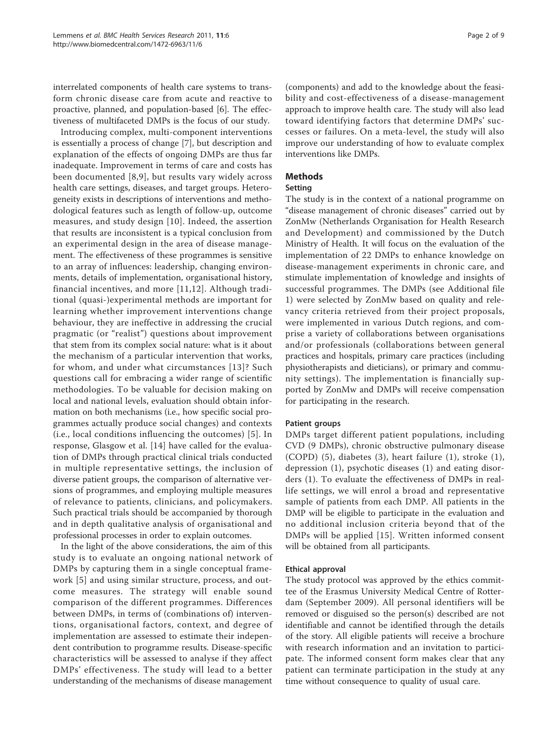interrelated components of health care systems to transform chronic disease care from acute and reactive to proactive, planned, and population-based [\[6](#page-8-0)]. The effectiveness of multifaceted DMPs is the focus of our study.

Introducing complex, multi-component interventions is essentially a process of change [[7\]](#page-8-0), but description and explanation of the effects of ongoing DMPs are thus far inadequate. Improvement in terms of care and costs has been documented [[8,9](#page-8-0)], but results vary widely across health care settings, diseases, and target groups. Heterogeneity exists in descriptions of interventions and methodological features such as length of follow-up, outcome measures, and study design [\[10\]](#page-8-0). Indeed, the assertion that results are inconsistent is a typical conclusion from an experimental design in the area of disease management. The effectiveness of these programmes is sensitive to an array of influences: leadership, changing environments, details of implementation, organisational history, financial incentives, and more [[11](#page-8-0),[12\]](#page-8-0). Although traditional (quasi-)experimental methods are important for learning whether improvement interventions change behaviour, they are ineffective in addressing the crucial pragmatic (or "realist") questions about improvement that stem from its complex social nature: what is it about the mechanism of a particular intervention that works, for whom, and under what circumstances [[13](#page-8-0)]? Such questions call for embracing a wider range of scientific methodologies. To be valuable for decision making on local and national levels, evaluation should obtain information on both mechanisms (i.e., how specific social programmes actually produce social changes) and contexts (i.e., local conditions influencing the outcomes) [[5\]](#page-8-0). In response, Glasgow et al. [[14\]](#page-8-0) have called for the evaluation of DMPs through practical clinical trials conducted in multiple representative settings, the inclusion of diverse patient groups, the comparison of alternative versions of programmes, and employing multiple measures of relevance to patients, clinicians, and policymakers. Such practical trials should be accompanied by thorough and in depth qualitative analysis of organisational and professional processes in order to explain outcomes.

In the light of the above considerations, the aim of this study is to evaluate an ongoing national network of DMPs by capturing them in a single conceptual framework [\[5\]](#page-8-0) and using similar structure, process, and outcome measures. The strategy will enable sound comparison of the different programmes. Differences between DMPs, in terms of (combinations of) interventions, organisational factors, context, and degree of implementation are assessed to estimate their independent contribution to programme results. Disease-specific characteristics will be assessed to analyse if they affect DMPs' effectiveness. The study will lead to a better understanding of the mechanisms of disease management

(components) and add to the knowledge about the feasibility and cost-effectiveness of a disease-management approach to improve health care. The study will also lead toward identifying factors that determine DMPs' successes or failures. On a meta-level, the study will also improve our understanding of how to evaluate complex interventions like DMPs.

# Methods

## Setting

The study is in the context of a national programme on "disease management of chronic diseases" carried out by ZonMw (Netherlands Organisation for Health Research and Development) and commissioned by the Dutch Ministry of Health. It will focus on the evaluation of the implementation of 22 DMPs to enhance knowledge on disease-management experiments in chronic care, and stimulate implementation of knowledge and insights of successful programmes. The DMPs (see Additional file [1\)](#page-7-0) were selected by ZonMw based on quality and relevancy criteria retrieved from their project proposals, were implemented in various Dutch regions, and comprise a variety of collaborations between organisations and/or professionals (collaborations between general practices and hospitals, primary care practices (including physiotherapists and dieticians), or primary and community settings). The implementation is financially supported by ZonMw and DMPs will receive compensation for participating in the research.

#### Patient groups

DMPs target different patient populations, including CVD (9 DMPs), chronic obstructive pulmonary disease (COPD) (5), diabetes (3), heart failure (1), stroke (1), depression (1), psychotic diseases (1) and eating disorders (1). To evaluate the effectiveness of DMPs in reallife settings, we will enrol a broad and representative sample of patients from each DMP. All patients in the DMP will be eligible to participate in the evaluation and no additional inclusion criteria beyond that of the DMPs will be applied [\[15\]](#page-8-0). Written informed consent will be obtained from all participants.

#### Ethical approval

The study protocol was approved by the ethics committee of the Erasmus University Medical Centre of Rotterdam (September 2009). All personal identifiers will be removed or disguised so the person(s) described are not identifiable and cannot be identified through the details of the story. All eligible patients will receive a brochure with research information and an invitation to participate. The informed consent form makes clear that any patient can terminate participation in the study at any time without consequence to quality of usual care.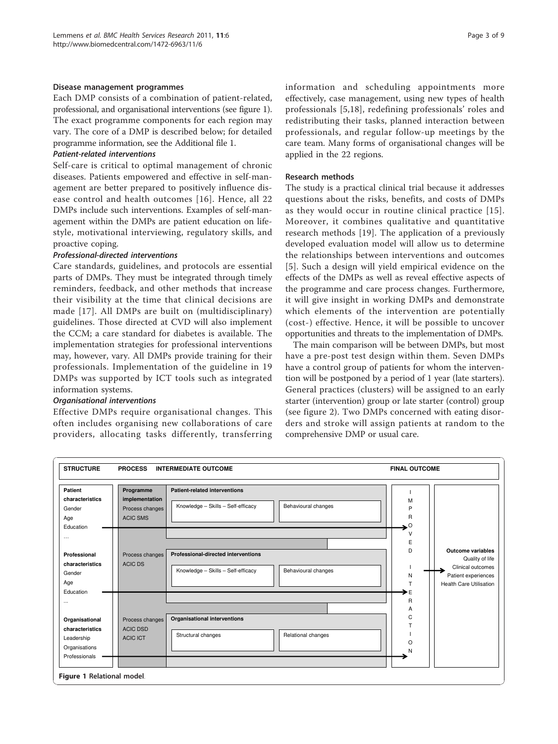#### <span id="page-2-0"></span>Disease management programmes

Each DMP consists of a combination of patient-related, professional, and organisational interventions (see figure 1). The exact programme components for each region may vary. The core of a DMP is described below; for detailed programme information, see the Additional file [1.](#page-7-0)

### Patient-related interventions

Self-care is critical to optimal management of chronic diseases. Patients empowered and effective in self-management are better prepared to positively influence disease control and health outcomes [[16](#page-8-0)]. Hence, all 22 DMPs include such interventions. Examples of self-management within the DMPs are patient education on lifestyle, motivational interviewing, regulatory skills, and proactive coping.

### Professional-directed interventions

Care standards, guidelines, and protocols are essential parts of DMPs. They must be integrated through timely reminders, feedback, and other methods that increase their visibility at the time that clinical decisions are made [[17\]](#page-8-0). All DMPs are built on (multidisciplinary) guidelines. Those directed at CVD will also implement the CCM; a care standard for diabetes is available. The implementation strategies for professional interventions may, however, vary. All DMPs provide training for their professionals. Implementation of the guideline in 19 DMPs was supported by ICT tools such as integrated information systems.

# Organisational interventions

Effective DMPs require organisational changes. This often includes organising new collaborations of care providers, allocating tasks differently, transferring information and scheduling appointments more effectively, case management, using new types of health professionals [\[5](#page-8-0),[18\]](#page-8-0), redefining professionals' roles and redistributing their tasks, planned interaction between professionals, and regular follow-up meetings by the care team. Many forms of organisational changes will be applied in the 22 regions.

## Research methods

The study is a practical clinical trial because it addresses questions about the risks, benefits, and costs of DMPs as they would occur in routine clinical practice [\[15\]](#page-8-0). Moreover, it combines qualitative and quantitative research methods [\[19\]](#page-8-0). The application of a previously developed evaluation model will allow us to determine the relationships between interventions and outcomes [[5](#page-8-0)]. Such a design will yield empirical evidence on the effects of the DMPs as well as reveal effective aspects of the programme and care process changes. Furthermore, it will give insight in working DMPs and demonstrate which elements of the intervention are potentially (cost-) effective. Hence, it will be possible to uncover opportunities and threats to the implementation of DMPs.

The main comparison will be between DMPs, but most have a pre-post test design within them. Seven DMPs have a control group of patients for whom the intervention will be postponed by a period of 1 year (late starters). General practices (clusters) will be assigned to an early starter (intervention) group or late starter (control) group (see figure [2\)](#page-3-0). Two DMPs concerned with eating disorders and stroke will assign patients at random to the comprehensive DMP or usual care.

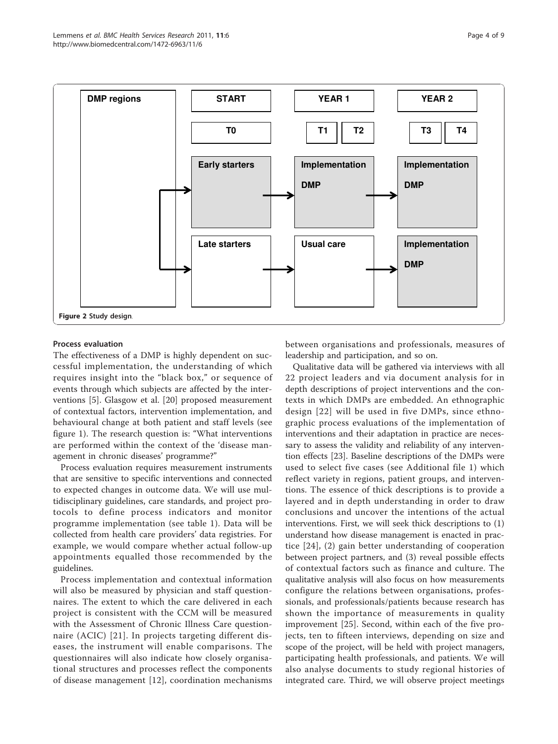<span id="page-3-0"></span>

### Process evaluation

The effectiveness of a DMP is highly dependent on successful implementation, the understanding of which requires insight into the "black box," or sequence of events through which subjects are affected by the interventions [[5\]](#page-8-0). Glasgow et al. [[20\]](#page-8-0) proposed measurement of contextual factors, intervention implementation, and behavioural change at both patient and staff levels (see figure [1\)](#page-2-0). The research question is: "What interventions are performed within the context of the 'disease management in chronic diseases' programme?"

Process evaluation requires measurement instruments that are sensitive to specific interventions and connected to expected changes in outcome data. We will use multidisciplinary guidelines, care standards, and project protocols to define process indicators and monitor programme implementation (see table [1](#page-4-0)). Data will be collected from health care providers' data registries. For example, we would compare whether actual follow-up appointments equalled those recommended by the guidelines.

Process implementation and contextual information will also be measured by physician and staff questionnaires. The extent to which the care delivered in each project is consistent with the CCM will be measured with the Assessment of Chronic Illness Care questionnaire (ACIC) [[21](#page-8-0)]. In projects targeting different diseases, the instrument will enable comparisons. The questionnaires will also indicate how closely organisational structures and processes reflect the components of disease management [\[12](#page-8-0)], coordination mechanisms between organisations and professionals, measures of leadership and participation, and so on.

Qualitative data will be gathered via interviews with all 22 project leaders and via document analysis for in depth descriptions of project interventions and the contexts in which DMPs are embedded. An ethnographic design [[22](#page-8-0)] will be used in five DMPs, since ethnographic process evaluations of the implementation of interventions and their adaptation in practice are necessary to assess the validity and reliability of any intervention effects [\[23](#page-8-0)]. Baseline descriptions of the DMPs were used to select five cases (see Additional file [1\)](#page-7-0) which reflect variety in regions, patient groups, and interventions. The essence of thick descriptions is to provide a layered and in depth understanding in order to draw conclusions and uncover the intentions of the actual interventions. First, we will seek thick descriptions to (1) understand how disease management is enacted in practice [[24](#page-8-0)], (2) gain better understanding of cooperation between project partners, and (3) reveal possible effects of contextual factors such as finance and culture. The qualitative analysis will also focus on how measurements configure the relations between organisations, professionals, and professionals/patients because research has shown the importance of measurements in quality improvement [\[25](#page-8-0)]. Second, within each of the five projects, ten to fifteen interviews, depending on size and scope of the project, will be held with project managers, participating health professionals, and patients. We will also analyse documents to study regional histories of integrated care. Third, we will observe project meetings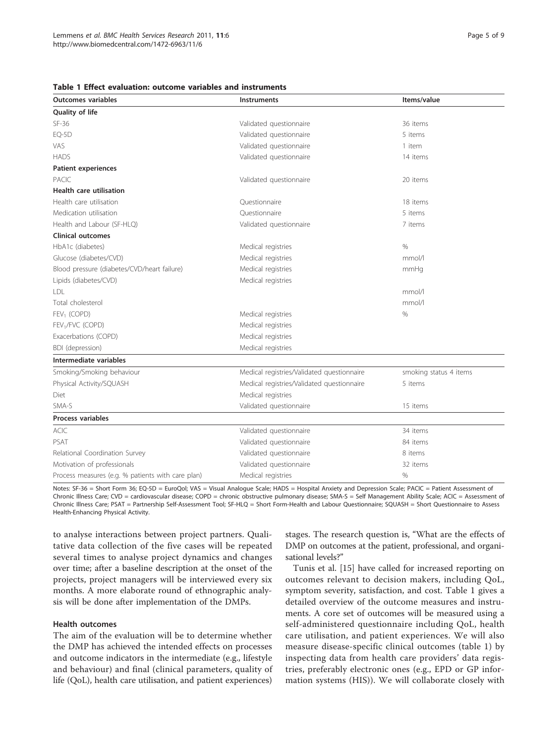<span id="page-4-0"></span>

| <b>Outcomes variables</b>                         | Instruments                                | Items/value            |  |  |
|---------------------------------------------------|--------------------------------------------|------------------------|--|--|
| Quality of life                                   |                                            |                        |  |  |
| $SF-36$                                           | Validated questionnaire                    | 36 items               |  |  |
| EQ-5D                                             | Validated questionnaire                    | 5 items                |  |  |
| VAS                                               | Validated questionnaire                    | 1 item                 |  |  |
| <b>HADS</b>                                       | Validated questionnaire                    | 14 items               |  |  |
| <b>Patient experiences</b>                        |                                            |                        |  |  |
| PACIC                                             | Validated questionnaire                    | 20 items               |  |  |
| <b>Health care utilisation</b>                    |                                            |                        |  |  |
| Health care utilisation                           | Ouestionnaire                              | 18 items               |  |  |
| Medication utilisation                            | Ouestionnaire                              | 5 items                |  |  |
| Health and Labour (SF-HLQ)                        | Validated questionnaire                    | 7 items                |  |  |
| <b>Clinical outcomes</b>                          |                                            |                        |  |  |
| HbA1c (diabetes)                                  | Medical registries                         | $\frac{0}{0}$          |  |  |
| Glucose (diabetes/CVD)                            | Medical registries                         | mmol/l                 |  |  |
| Blood pressure (diabetes/CVD/heart failure)       | Medical registries                         | mmHq                   |  |  |
| Lipids (diabetes/CVD)                             | Medical registries                         |                        |  |  |
| LDL.                                              |                                            | mmol/l                 |  |  |
| Total cholesterol                                 |                                            | mmol/l                 |  |  |
| $FEV1$ (COPD)                                     | Medical registries                         | %                      |  |  |
| FEV <sub>1</sub> /FVC (COPD)                      | Medical registries                         |                        |  |  |
| Exacerbations (COPD)                              | Medical registries                         |                        |  |  |
| BDI (depression)                                  | Medical registries                         |                        |  |  |
| Intermediate variables                            |                                            |                        |  |  |
| Smoking/Smoking behaviour                         | Medical registries/Validated questionnaire | smoking status 4 items |  |  |
| Physical Activity/SQUASH                          | Medical registries/Validated questionnaire | 5 items                |  |  |
| Diet                                              | Medical registries                         |                        |  |  |
| SMA-S                                             | Validated questionnaire                    | 15 items               |  |  |
| Process variables                                 |                                            |                        |  |  |
| <b>ACIC</b>                                       | Validated questionnaire                    | 34 items               |  |  |
| PSAT                                              | Validated questionnaire                    | 84 items               |  |  |
| Relational Coordination Survey                    | Validated questionnaire                    | 8 items                |  |  |
| Motivation of professionals                       | Validated questionnaire                    | 32 items               |  |  |
| Process measures (e.g. % patients with care plan) | Medical registries                         | %                      |  |  |

Notes: SF-36 = Short Form 36; EQ-5D = EuroQol; VAS = Visual Analogue Scale; HADS = Hospital Anxiety and Depression Scale; PACIC = Patient Assessment of Chronic Illness Care; CVD = cardiovascular disease; COPD = chronic obstructive pulmonary disease; SMA-S = Self Management Ability Scale; ACIC = Assessment of Chronic Illness Care; PSAT = Partnership Self-Assessment Tool; SF-HLQ = Short Form-Health and Labour Questionnaire; SQUASH = Short Questionnaire to Assess Health-Enhancing Physical Activity.

to analyse interactions between project partners. Qualitative data collection of the five cases will be repeated several times to analyse project dynamics and changes over time; after a baseline description at the onset of the projects, project managers will be interviewed every six months. A more elaborate round of ethnographic analysis will be done after implementation of the DMPs.

#### Health outcomes

The aim of the evaluation will be to determine whether the DMP has achieved the intended effects on processes and outcome indicators in the intermediate (e.g., lifestyle and behaviour) and final (clinical parameters, quality of life (QoL), health care utilisation, and patient experiences)

stages. The research question is, "What are the effects of DMP on outcomes at the patient, professional, and organisational levels?"

Tunis et al. [[15\]](#page-8-0) have called for increased reporting on outcomes relevant to decision makers, including QoL, symptom severity, satisfaction, and cost. Table 1 gives a detailed overview of the outcome measures and instruments. A core set of outcomes will be measured using a self-administered questionnaire including QoL, health care utilisation, and patient experiences. We will also measure disease-specific clinical outcomes (table 1) by inspecting data from health care providers' data registries, preferably electronic ones (e.g., EPD or GP information systems (HIS)). We will collaborate closely with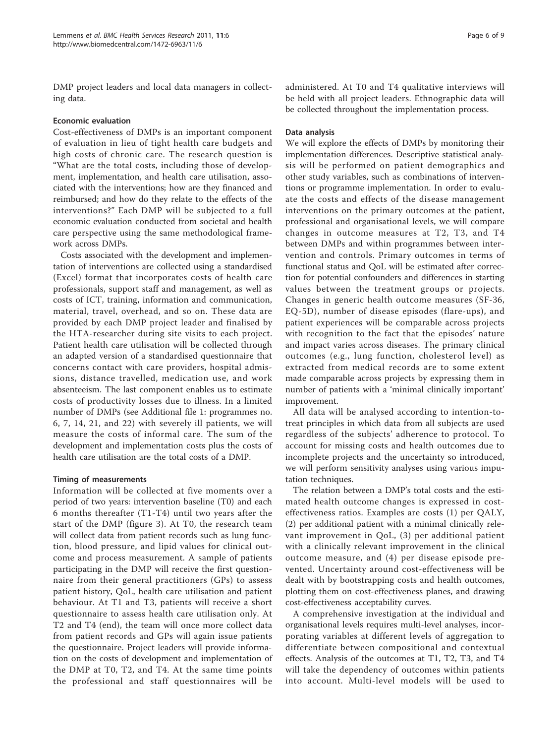DMP project leaders and local data managers in collecting data.

#### Economic evaluation

Cost-effectiveness of DMPs is an important component of evaluation in lieu of tight health care budgets and high costs of chronic care. The research question is "What are the total costs, including those of development, implementation, and health care utilisation, associated with the interventions; how are they financed and reimbursed; and how do they relate to the effects of the interventions?" Each DMP will be subjected to a full economic evaluation conducted from societal and health care perspective using the same methodological framework across DMPs.

Costs associated with the development and implementation of interventions are collected using a standardised (Excel) format that incorporates costs of health care professionals, support staff and management, as well as costs of ICT, training, information and communication, material, travel, overhead, and so on. These data are provided by each DMP project leader and finalised by the HTA-researcher during site visits to each project. Patient health care utilisation will be collected through an adapted version of a standardised questionnaire that concerns contact with care providers, hospital admissions, distance travelled, medication use, and work absenteeism. The last component enables us to estimate costs of productivity losses due to illness. In a limited number of DMPs (see Additional file [1:](#page-7-0) programmes no. 6, 7, 14, 21, and 22) with severely ill patients, we will measure the costs of informal care. The sum of the development and implementation costs plus the costs of health care utilisation are the total costs of a DMP.

#### Timing of measurements

Information will be collected at five moments over a period of two years: intervention baseline (T0) and each 6 months thereafter (T1-T4) until two years after the start of the DMP (figure [3\)](#page-6-0). At T0, the research team will collect data from patient records such as lung function, blood pressure, and lipid values for clinical outcome and process measurement. A sample of patients participating in the DMP will receive the first questionnaire from their general practitioners (GPs) to assess patient history, QoL, health care utilisation and patient behaviour. At T1 and T3, patients will receive a short questionnaire to assess health care utilisation only. At T2 and T4 (end), the team will once more collect data from patient records and GPs will again issue patients the questionnaire. Project leaders will provide information on the costs of development and implementation of the DMP at T0, T2, and T4. At the same time points the professional and staff questionnaires will be administered. At T0 and T4 qualitative interviews will be held with all project leaders. Ethnographic data will be collected throughout the implementation process.

#### Data analysis

We will explore the effects of DMPs by monitoring their implementation differences. Descriptive statistical analysis will be performed on patient demographics and other study variables, such as combinations of interventions or programme implementation. In order to evaluate the costs and effects of the disease management interventions on the primary outcomes at the patient, professional and organisational levels, we will compare changes in outcome measures at T2, T3, and T4 between DMPs and within programmes between intervention and controls. Primary outcomes in terms of functional status and QoL will be estimated after correction for potential confounders and differences in starting values between the treatment groups or projects. Changes in generic health outcome measures (SF-36, EQ-5D), number of disease episodes (flare-ups), and patient experiences will be comparable across projects with recognition to the fact that the episodes' nature and impact varies across diseases. The primary clinical outcomes (e.g., lung function, cholesterol level) as extracted from medical records are to some extent made comparable across projects by expressing them in number of patients with a 'minimal clinically important' improvement.

All data will be analysed according to intention-totreat principles in which data from all subjects are used regardless of the subjects' adherence to protocol. To account for missing costs and health outcomes due to incomplete projects and the uncertainty so introduced, we will perform sensitivity analyses using various imputation techniques.

The relation between a DMP's total costs and the estimated health outcome changes is expressed in costeffectiveness ratios. Examples are costs (1) per QALY, (2) per additional patient with a minimal clinically relevant improvement in QoL, (3) per additional patient with a clinically relevant improvement in the clinical outcome measure, and (4) per disease episode prevented. Uncertainty around cost-effectiveness will be dealt with by bootstrapping costs and health outcomes, plotting them on cost-effectiveness planes, and drawing cost-effectiveness acceptability curves.

A comprehensive investigation at the individual and organisational levels requires multi-level analyses, incorporating variables at different levels of aggregation to differentiate between compositional and contextual effects. Analysis of the outcomes at T1, T2, T3, and T4 will take the dependency of outcomes within patients into account. Multi-level models will be used to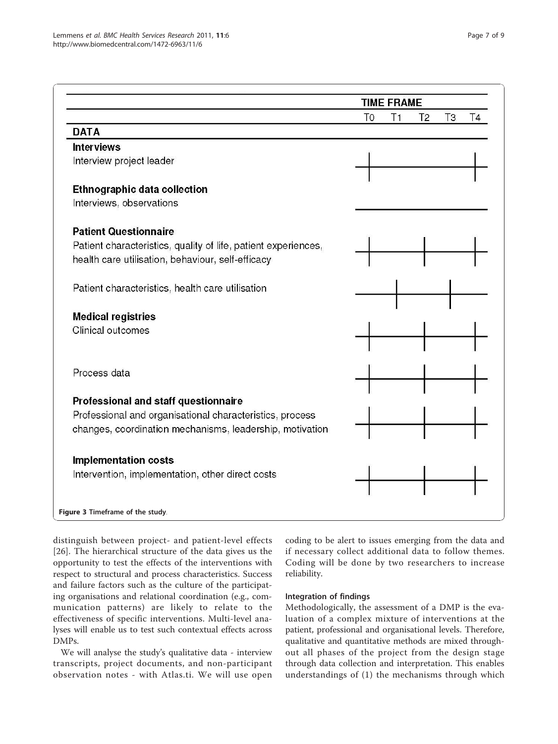<span id="page-6-0"></span>

|                                                                |    | <b>TIME FRAME</b> |    |    |    |  |
|----------------------------------------------------------------|----|-------------------|----|----|----|--|
|                                                                | TO | T <sub>1</sub>    | T2 | ΤЗ | T4 |  |
| <b>DATA</b>                                                    |    |                   |    |    |    |  |
| <b>Interviews</b>                                              |    |                   |    |    |    |  |
| Interview project leader                                       |    |                   |    |    |    |  |
|                                                                |    |                   |    |    |    |  |
| Ethnographic data collection                                   |    |                   |    |    |    |  |
| Interviews, observations                                       |    |                   |    |    |    |  |
| <b>Patient Questionnaire</b>                                   |    |                   |    |    |    |  |
| Patient characteristics, quality of life, patient experiences, |    |                   |    |    |    |  |
| health care utilisation, behaviour, self-efficacy              |    |                   |    |    |    |  |
| Patient characteristics, health care utilisation               |    |                   |    |    |    |  |
| <b>Medical registries</b>                                      |    |                   |    |    |    |  |
| Clinical outcomes                                              |    |                   |    |    |    |  |
|                                                                |    |                   |    |    |    |  |
| Process data                                                   |    |                   |    |    |    |  |
|                                                                |    |                   |    |    |    |  |
| Professional and staff questionnaire                           |    |                   |    |    |    |  |
| Professional and organisational characteristics, process       |    |                   |    |    |    |  |
| changes, coordination mechanisms, leadership, motivation       |    |                   |    |    |    |  |
| <b>Implementation costs</b>                                    |    |                   |    |    |    |  |
| Intervention, implementation, other direct costs               |    |                   |    |    |    |  |
|                                                                |    |                   |    |    |    |  |
| Figure 3 Timeframe of the study.                               |    |                   |    |    |    |  |

distinguish between project- and patient-level effects [[26\]](#page-8-0). The hierarchical structure of the data gives us the opportunity to test the effects of the interventions with respect to structural and process characteristics. Success and failure factors such as the culture of the participating organisations and relational coordination (e.g., communication patterns) are likely to relate to the effectiveness of specific interventions. Multi-level analyses will enable us to test such contextual effects across DMPs.

We will analyse the study's qualitative data - interview transcripts, project documents, and non-participant observation notes - with Atlas.ti. We will use open coding to be alert to issues emerging from the data and if necessary collect additional data to follow themes. Coding will be done by two researchers to increase reliability.

#### Integration of findings

Methodologically, the assessment of a DMP is the evaluation of a complex mixture of interventions at the patient, professional and organisational levels. Therefore, qualitative and quantitative methods are mixed throughout all phases of the project from the design stage through data collection and interpretation. This enables understandings of (1) the mechanisms through which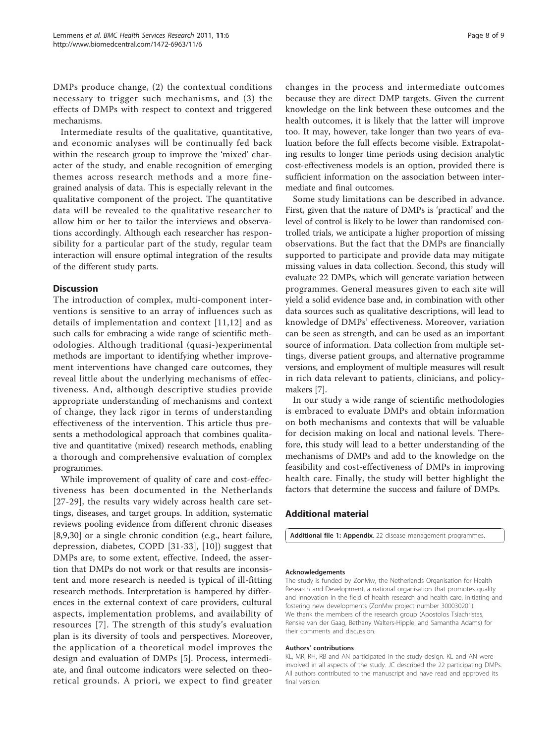<span id="page-7-0"></span>DMPs produce change, (2) the contextual conditions necessary to trigger such mechanisms, and (3) the effects of DMPs with respect to context and triggered mechanisms.

Intermediate results of the qualitative, quantitative, and economic analyses will be continually fed back within the research group to improve the 'mixed' character of the study, and enable recognition of emerging themes across research methods and a more finegrained analysis of data. This is especially relevant in the qualitative component of the project. The quantitative data will be revealed to the qualitative researcher to allow him or her to tailor the interviews and observations accordingly. Although each researcher has responsibility for a particular part of the study, regular team interaction will ensure optimal integration of the results of the different study parts.

### Discussion

The introduction of complex, multi-component interventions is sensitive to an array of influences such as details of implementation and context [[11,12\]](#page-8-0) and as such calls for embracing a wide range of scientific methodologies. Although traditional (quasi-)experimental methods are important to identifying whether improvement interventions have changed care outcomes, they reveal little about the underlying mechanisms of effectiveness. And, although descriptive studies provide appropriate understanding of mechanisms and context of change, they lack rigor in terms of understanding effectiveness of the intervention. This article thus presents a methodological approach that combines qualitative and quantitative (mixed) research methods, enabling a thorough and comprehensive evaluation of complex programmes.

While improvement of quality of care and cost-effectiveness has been documented in the Netherlands [[27](#page-8-0)-[29](#page-8-0)], the results vary widely across health care settings, diseases, and target groups. In addition, systematic reviews pooling evidence from different chronic diseases [[8,9,30](#page-8-0)] or a single chronic condition (e.g., heart failure, depression, diabetes, COPD [\[31-33\]](#page-8-0), [[10](#page-8-0)]) suggest that DMPs are, to some extent, effective. Indeed, the assertion that DMPs do not work or that results are inconsistent and more research is needed is typical of ill-fitting research methods. Interpretation is hampered by differences in the external context of care providers, cultural aspects, implementation problems, and availability of resources [[7](#page-8-0)]. The strength of this study's evaluation plan is its diversity of tools and perspectives. Moreover, the application of a theoretical model improves the design and evaluation of DMPs [[5\]](#page-8-0). Process, intermediate, and final outcome indicators were selected on theoretical grounds. A priori, we expect to find greater

changes in the process and intermediate outcomes because they are direct DMP targets. Given the current knowledge on the link between these outcomes and the health outcomes, it is likely that the latter will improve too. It may, however, take longer than two years of evaluation before the full effects become visible. Extrapolating results to longer time periods using decision analytic cost-effectiveness models is an option, provided there is sufficient information on the association between intermediate and final outcomes.

Some study limitations can be described in advance. First, given that the nature of DMPs is 'practical' and the level of control is likely to be lower than randomised controlled trials, we anticipate a higher proportion of missing observations. But the fact that the DMPs are financially supported to participate and provide data may mitigate missing values in data collection. Second, this study will evaluate 22 DMPs, which will generate variation between programmes. General measures given to each site will yield a solid evidence base and, in combination with other data sources such as qualitative descriptions, will lead to knowledge of DMPs' effectiveness. Moreover, variation can be seen as strength, and can be used as an important source of information. Data collection from multiple settings, diverse patient groups, and alternative programme versions, and employment of multiple measures will result in rich data relevant to patients, clinicians, and policymakers [\[7\]](#page-8-0).

In our study a wide range of scientific methodologies is embraced to evaluate DMPs and obtain information on both mechanisms and contexts that will be valuable for decision making on local and national levels. Therefore, this study will lead to a better understanding of the mechanisms of DMPs and add to the knowledge on the feasibility and cost-effectiveness of DMPs in improving health care. Finally, the study will better highlight the factors that determine the success and failure of DMPs.

# Additional material

[Additional file 1: A](http://www.biomedcentral.com/content/supplementary/1472-6963-11-6-S1.DOCX)ppendix. 22 disease management programmes.

#### Acknowledgements

The study is funded by ZonMw, the Netherlands Organisation for Health Research and Development, a national organisation that promotes quality and innovation in the field of health research and health care, initiating and fostering new developments (ZonMw project number 300030201). We thank the members of the research group (Apostolos Tsiachristas, Renske van der Gaag, Bethany Walters-Hipple, and Samantha Adams) for their comments and discussion.

#### Authors' contributions

KL, MR, RH, RB and AN participated in the study design. KL and AN were involved in all aspects of the study. JC described the 22 participating DMPs. All authors contributed to the manuscript and have read and approved its final version.